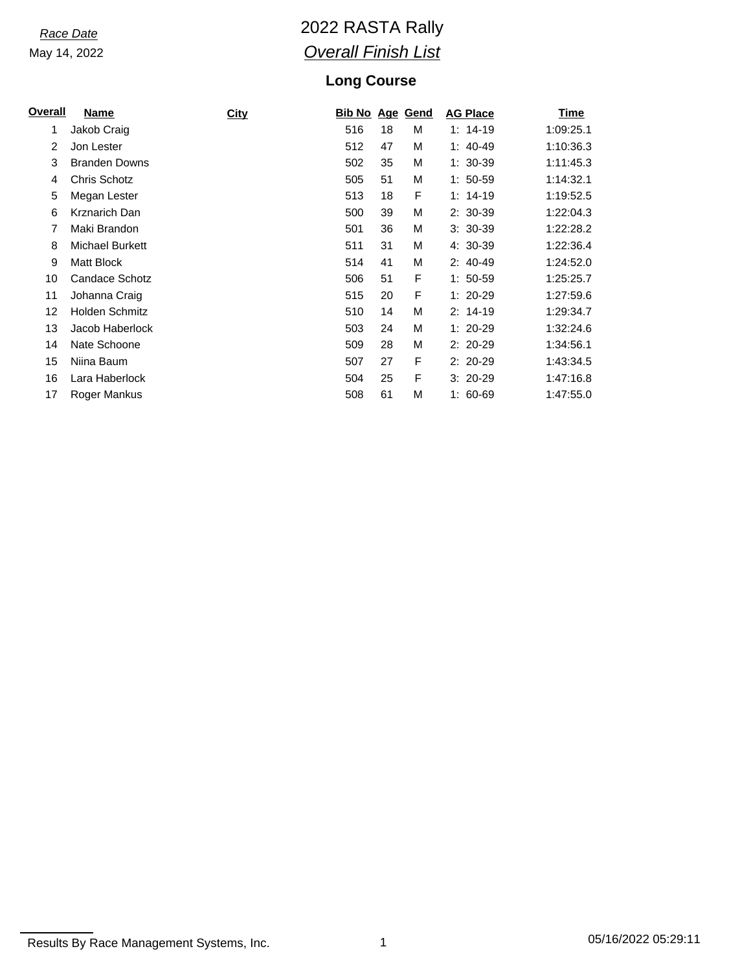May 14, 2022

# *Race Date* 2022 RASTA Rally *Overall Finish List*

### **Long Course**

| <u>Overall</u> | <b>Name</b>            | <b>City</b> | <b>Bib No Age Gend</b> |    |   | <b>AG Place</b> | Time      |
|----------------|------------------------|-------------|------------------------|----|---|-----------------|-----------|
| 1              | Jakob Craig            |             | 516                    | 18 | М | $1: 14-19$      | 1:09:25.1 |
| 2              | Jon Lester             |             | 512                    | 47 | М | $1: 40-49$      | 1:10:36.3 |
| 3              | <b>Branden Downs</b>   |             | 502                    | 35 | M | $1: 30-39$      | 1:11:45.3 |
| 4              | Chris Schotz           |             | 505                    | 51 | M | $1:50-59$       | 1:14:32.1 |
| 5              | Megan Lester           |             | 513                    | 18 | F | $1: 14-19$      | 1:19:52.5 |
| 6              | Krznarich Dan          |             | 500                    | 39 | M | $2: 30-39$      | 1:22:04.3 |
| 7              | Maki Brandon           |             | 501                    | 36 | М | $3:30-39$       | 1:22:28.2 |
| 8              | <b>Michael Burkett</b> |             | 511                    | 31 | М | 4: 30-39        | 1:22:36.4 |
| 9              | Matt Block             |             | 514                    | 41 | M | $2: 40-49$      | 1:24:52.0 |
| 10             | Candace Schotz         |             | 506                    | 51 | F | $1: 50-59$      | 1:25:25.7 |
| 11             | Johanna Craig          |             | 515                    | 20 | F | $1: 20-29$      | 1:27:59.6 |
| 12             | Holden Schmitz         |             | 510                    | 14 | М | $2: 14-19$      | 1:29:34.7 |
| 13             | Jacob Haberlock        |             | 503                    | 24 | М | $1: 20-29$      | 1:32:24.6 |
| 14             | Nate Schoone           |             | 509                    | 28 | M | $2:20-29$       | 1:34:56.1 |
| 15             | Niina Baum             |             | 507                    | 27 | F | $2:20-29$       | 1:43:34.5 |
| 16             | Lara Haberlock         |             | 504                    | 25 | F | $3:20-29$       | 1:47:16.8 |
| 17             | Roger Mankus           |             | 508                    | 61 | M | $1:60-69$       | 1:47:55.0 |

Results By Race Management Systems, Inc. 1 1 1 1 05/16/2022 05:29:11